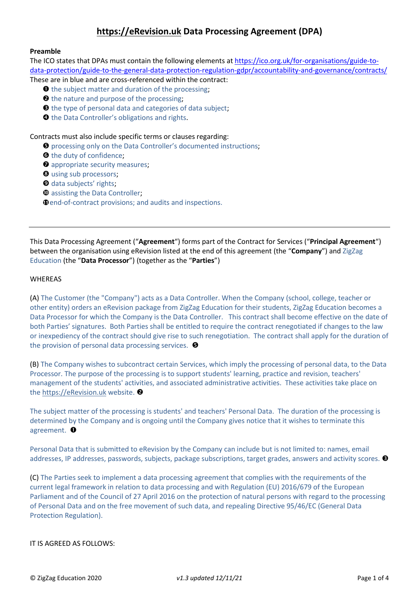# **[https://eRevision.uk](https://erevision.uk/) Data Processing Agreement (DPA)**

## **Preamble**

The ICO states that DPAs must contain the following elements a[t https://ico.org.uk/for-organisations/guide-to](https://ico.org.uk/for-organisations/guide-to-data-protection/guide-to-the-general-data-protection-regulation-gdpr/accountability-and-governance/contracts/)[data-protection/guide-to-the-general-data-protection-regulation-gdpr/accountability-and-governance/contracts/](https://ico.org.uk/for-organisations/guide-to-data-protection/guide-to-the-general-data-protection-regulation-gdpr/accountability-and-governance/contracts/)

- These are in blue and are cross-referenced within the contract:
	- $\bullet$  the subject matter and duration of the processing;
	- $\Theta$  the nature and purpose of the processing;
	- **O** the type of personal data and categories of data subject;
	- **O** the Data Controller's obligations and rights.

Contracts must also include specific terms or clauses regarding:

- $\Theta$  processing only on the Data Controller's documented instructions;
- **O** the duty of confidence;
- $\bullet$  appropriate security measures;
- **O** using sub processors;
- **O** data subjects' rights;
- $\Phi$  assisting the Data Controller:
- **D** end-of-contract provisions; and audits and inspections.

This Data Processing Agreement ("**Agreement**") forms part of the Contract for Services ("**Principal Agreement**") between the organisation using eRevision listed at the end of this agreement (the "**Company**") and ZigZag Education (the "**Data Processor**") (together as the "**Parties**")

## **WHEREAS**

(A) The Customer (the "Company") acts as a Data Controller. When the Company (school, college, teacher or other entity) orders an eRevision package from ZigZag Education for their students, ZigZag Education becomes a Data Processor for which the Company is the Data Controller. This contract shall become effective on the date of both Parties' signatures. Both Parties shall be entitled to require the contract renegotiated if changes to the law or inexpediency of the contract should give rise to such renegotiation. The contract shall apply for the duration of the provision of personal data processing services.  $\bullet$ 

(B) The Company wishes to subcontract certain Services, which imply the processing of personal data, to the Data Processor. The purpose of the processing is to support students' learning, practice and revision, teachers' management of the students' activities, and associated administrative activities. These activities take place on the [https://eRevision.uk](https://erevision.uk/) website. <sup>2</sup>

The subject matter of the processing is students' and teachers' Personal Data. The duration of the processing is determined by the Company and is ongoing until the Company gives notice that it wishes to terminate this agreement.  $\bullet$ 

Personal Data that is submitted to eRevision by the Company can include but is not limited to: names, email addresses, IP addresses, passwords, subjects, package subscriptions, target grades, answers and activity scores.  $\bullet$ 

(C) The Parties seek to implement a data processing agreement that complies with the requirements of the current legal framework in relation to data processing and with Regulation (EU) 2016/679 of the European Parliament and of the Council of 27 April 2016 on the protection of natural persons with regard to the processing of Personal Data and on the free movement of such data, and repealing Directive 95/46/EC (General Data Protection Regulation).

## IT IS AGREED AS FOLLOWS: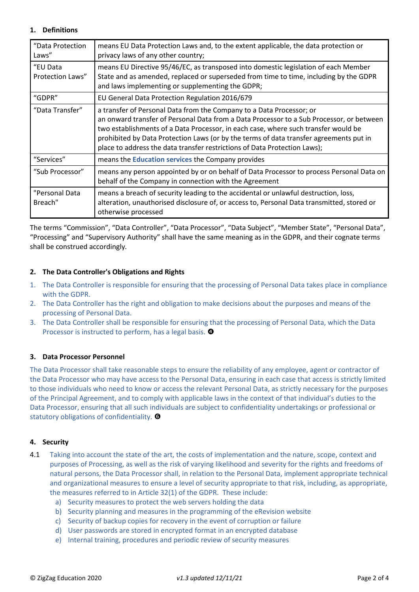## **1. Definitions**

| "Data Protection<br>Laws"    | means EU Data Protection Laws and, to the extent applicable, the data protection or<br>privacy laws of any other country;                                                                                                                                                                                                                                                                                                     |  |
|------------------------------|-------------------------------------------------------------------------------------------------------------------------------------------------------------------------------------------------------------------------------------------------------------------------------------------------------------------------------------------------------------------------------------------------------------------------------|--|
| "EU Data<br>Protection Laws" | means EU Directive 95/46/EC, as transposed into domestic legislation of each Member<br>State and as amended, replaced or superseded from time to time, including by the GDPR<br>and laws implementing or supplementing the GDPR;                                                                                                                                                                                              |  |
| "GDPR"                       | EU General Data Protection Regulation 2016/679                                                                                                                                                                                                                                                                                                                                                                                |  |
| "Data Transfer"              | a transfer of Personal Data from the Company to a Data Processor; or<br>an onward transfer of Personal Data from a Data Processor to a Sub Processor, or between<br>two establishments of a Data Processor, in each case, where such transfer would be<br>prohibited by Data Protection Laws (or by the terms of data transfer agreements put in<br>place to address the data transfer restrictions of Data Protection Laws); |  |
| "Services"                   | means the <b>Education services</b> the Company provides                                                                                                                                                                                                                                                                                                                                                                      |  |
| "Sub Processor"              | means any person appointed by or on behalf of Data Processor to process Personal Data on<br>behalf of the Company in connection with the Agreement                                                                                                                                                                                                                                                                            |  |
| "Personal Data<br>Breach"    | means a breach of security leading to the accidental or unlawful destruction, loss,<br>alteration, unauthorised disclosure of, or access to, Personal Data transmitted, stored or<br>otherwise processed                                                                                                                                                                                                                      |  |

The terms "Commission", "Data Controller", "Data Processor", "Data Subject", "Member State", "Personal Data", "Processing" and "Supervisory Authority" shall have the same meaning as in the GDPR, and their cognate terms shall be construed accordingly*.*

# **2. The Data Controller's Obligations and Rights**

- 1. The Data Controller is responsible for ensuring that the processing of Personal Data takes place in compliance with the GDPR.
- 2. The Data Controller has the right and obligation to make decisions about the purposes and means of the processing of Personal Data.
- 3. The Data Controller shall be responsible for ensuring that the processing of Personal Data, which the Data Processor is instructed to perform, has a legal basis.  $\bullet$

# **3. Data Processor Personnel**

The Data Processor shall take reasonable steps to ensure the reliability of any employee, agent or contractor of the Data Processor who may have access to the Personal Data, ensuring in each case that access is strictly limited to those individuals who need to know or access the relevant Personal Data, as strictly necessary for the purposes of the Principal Agreement, and to comply with applicable laws in the context of that individual's duties to the Data Processor, ensuring that all such individuals are subject to confidentiality undertakings or professional or statutory obligations of confidentiality.  $\bullet$ 

# **4. Security**

- 4.1 Taking into account the state of the art, the costs of implementation and the nature, scope, context and purposes of Processing, as well as the risk of varying likelihood and severity for the rights and freedoms of natural persons, the Data Processor shall, in relation to the Personal Data, implement appropriate technical and organizational measures to ensure a level of security appropriate to that risk, including, as appropriate, the measures referred to in Article 32(1) of the GDPR. These include:
	- a) Security measures to protect the web servers holding the data
	- b) Security planning and measures in the programming of the eRevision website
	- c) Security of backup copies for recovery in the event of corruption or failure
	- d) User passwords are stored in encrypted format in an encrypted database
	- e) Internal training, procedures and periodic review of security measures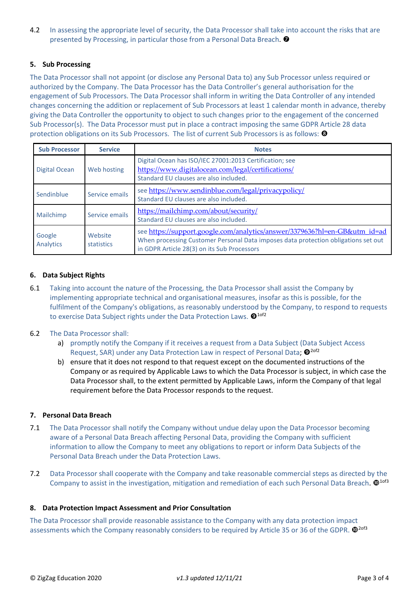4.2 In assessing the appropriate level of security, the Data Processor shall take into account the risks that are presented by Processing, in particular those from a Personal Data Breach.  $\bullet$ 

## **5. Sub Processing**

The Data Processor shall not appoint (or disclose any Personal Data to) any Sub Processor unless required or authorized by the Company. The Data Processor has the Data Controller's general authorisation for the engagement of Sub Processors. The Data Processor shall inform in writing the Data Controller of any intended changes concerning the addition or replacement of Sub Processors at least 1 calendar month in advance, thereby giving the Data Controller the opportunity to object to such changes prior to the engagement of the concerned Sub Processor(s). The Data Processor must put in place a contract imposing the same GDPR Article 28 data protection obligations on its Sub Processors. The list of current Sub Processors is as follows: <sup>3</sup>

| <b>Sub Processor</b> | <b>Service</b>        | <b>Notes</b>                                                                                                                                                                                                    |  |
|----------------------|-----------------------|-----------------------------------------------------------------------------------------------------------------------------------------------------------------------------------------------------------------|--|
| Digital Ocean        | Web hosting           | Digital Ocean has ISO/IEC 27001:2013 Certification; see<br>https://www.digitalocean.com/legal/certifications/<br>Standard EU clauses are also included.                                                         |  |
| Sendinblue           | Service emails        | see https://www.sendinblue.com/legal/privacypolicy/<br>Standard EU clauses are also included.                                                                                                                   |  |
| Mailchimp            | Service emails        | https://mailchimp.com/about/security/<br>Standard EU clauses are also included.                                                                                                                                 |  |
| Google<br>Analytics  | Website<br>statistics | see https://support.google.com/analytics/answer/3379636?hl=en-GB&utm_id=ad<br>When processing Customer Personal Data imposes data protection obligations set out<br>in GDPR Article 28(3) on its Sub Processors |  |

## **6. Data Subject Rights**

6.1 Taking into account the nature of the Processing, the Data Processor shall assist the Company by implementing appropriate technical and organisational measures, insofar as this is possible, for the fulfilment of the Company's obligations, as reasonably understood by the Company, to respond to requests to exercise Data Subject rights under the Data Protection Laws.  $\mathbf{Q}^{\text{1of2}}$ 

#### 6.2 The Data Processor shall:

- a) promptly notify the Company if it receives a request from a Data Subject (Data Subject Access Request, SAR) under any Data Protection Law in respect of Personal Data;  $\mathbf{\Theta}^{2of2}$
- b) ensure that it does not respond to that request except on the documented instructions of the Company or as required by Applicable Laws to which the Data Processor is subject, in which case the Data Processor shall, to the extent permitted by Applicable Laws, inform the Company of that legal requirement before the Data Processor responds to the request.

#### **7. Personal Data Breach**

- 7.1 The Data Processor shall notify the Company without undue delay upon the Data Processor becoming aware of a Personal Data Breach affecting Personal Data, providing the Company with sufficient information to allow the Company to meet any obligations to report or inform Data Subjects of the Personal Data Breach under the Data Protection Laws.
- 7.2 Data Processor shall cooperate with the Company and take reasonable commercial steps as directed by the Company to assist in the investigation, mitigation and remediation of each such Personal Data Breach.  $\mathbf{0}^{1 of 3}$

#### **8. Data Protection Impact Assessment and Prior Consultation**

The Data Processor shall provide reasonable assistance to the Company with any data protection impact assessments which the Company reasonably considers to be required by Article 35 or 36 of the GDPR.  $\Phi^{2of3}$